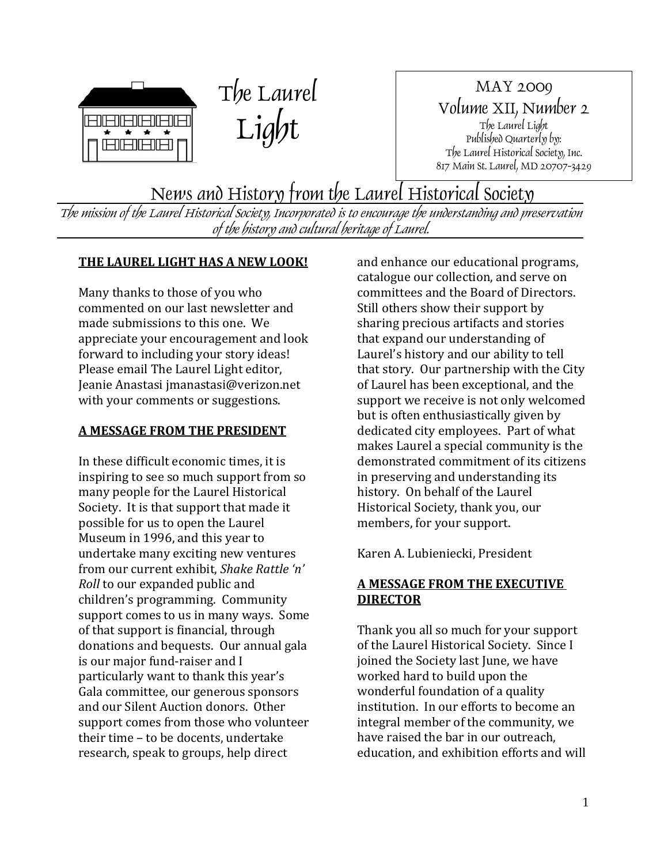



MAY 2009 Volume XII, Number 2 The Laurel Light Published Quarterly by: The Laurel Historical Society, Inc. 817 Main St. Laurel, MD 20707-3429

News and History from the Laurel Historical Society

The mission of the Laurel Historical Society, Incorporated is to encourage the understanding and preservation of the history and cultural heritage of Laurel.

# **THE LAUREL LIGHT HAS A NEW LOOK!**

Many thanks to those of you who commented on our last newsletter and made submissions to this one. We appreciate your encouragement and look forward to including your story ideas! Please email The Laurel Light editor, Jeanie Anastasi jmanastasi@verizon.net with your comments or suggestions.

## **A MESSAGE FROM THE PRESIDENT**

In these difficult economic times, it is inspiring to see so much support from so many people for the Laurel Historical Society. It is that support that made it possible for us to open the Laurel Museum in 1996, and this year to undertake many exciting new ventures from our current exhibit, *Shake Rattle 'n' Roll* to our expanded public and children's programming. Community support comes to us in many ways. Some of that support is financial, through donations and bequests. Our annual gala is our major fund‐raiser and I particularly want to thank this year's Gala committee, our generous sponsors and our Silent Auction donors. Other support comes from those who volunteer their time - to be docents, undertake research, speak to groups, help direct

and enhance our educational programs, catalogue our collection, and serve on committees and the Board of Directors. Still others show their support by sharing precious artifacts and stories that expand our understanding of Laurel's history and our ability to tell that story. Our partnership with the City of Laurel has been exceptional, and the support we receive is not only welcomed but is often enthusiastically given by dedicated city employees. Part of what makes Laurel a special community is the demonstrated commitment of its citizens in preserving and understanding its history. On behalf of the Laurel Historical Society, thank you, our members, for your support.

Karen A. Lubieniecki, President

# **A MESSAGE FROM THE EXECUTIVE DIRECTOR**

Thank you all so much for your support of the Laurel Historical Society. Since I joined the Society last June, we have worked hard to build upon the wonderful foundation of a quality institution. In our efforts to become an integral member of the community, we have raised the bar in our outreach, education, and exhibition efforts and will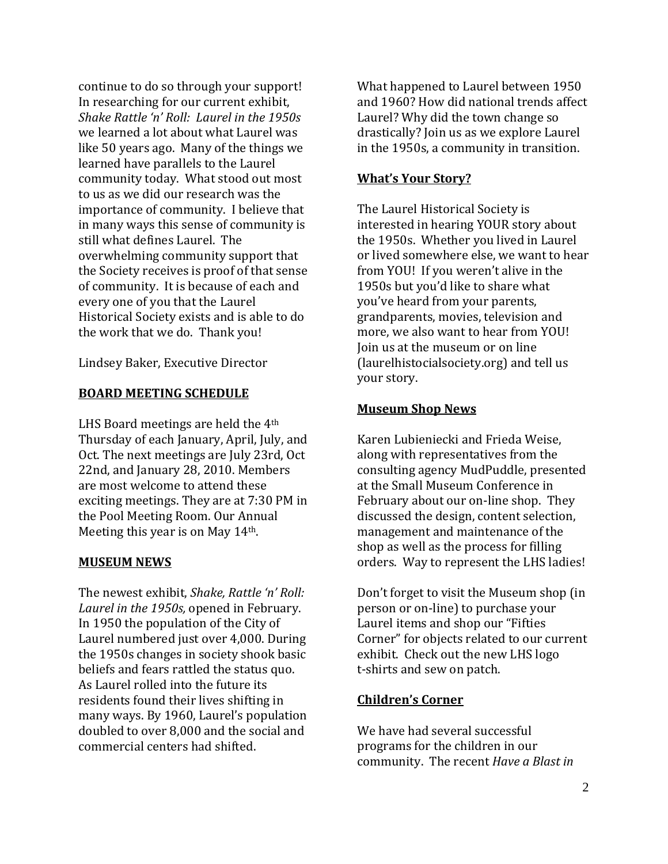continue to do so through your support! In researching for our current exhibit, *Shake Rattle 'n' Roll: Laurel in the 1950s* we learned a lot about what Laurel was like 50 years ago. Many of the things we learned have parallels to the Laurel community today. What stood out most to us as we did our research was the importance of community. I believe that in many ways this sense of community is still what defines Laurel. The overwhelming community support that the Society receives is proof of that sense of community. It is because of each and every one of you that the Laurel Historical Society exists and is able to do the work that we do. Thank you!

Lindsey Baker, Executive Director

#### **BOARD MEETING SCHEDULE**

LHS Board meetings are held the 4<sup>th</sup> Thursday of each January, April, July, and Oct. The next meetings are July 23rd, Oct 22nd, and January 28, 2010. Members are most welcome to attend these exciting meetings. They are at 7:30 PM in the Pool Meeting Room. Our Annual Meeting this year is on May 14th.

#### **MUSEUM NEWS**

The newest exhibit, *Shake, Rattle 'n' Roll: Laurel in the 1950s,* opened in February. In 1950 the population of the City of Laurel numbered just over 4,000. During the 1950s changes in society shook basic beliefs and fears rattled the status quo. As Laurel rolled into the future its residents found their lives shifting in many ways. By 1960, Laurel's population doubled to over 8,000 and the social and commercial centers had shifted.

What happened to Laurel between 1950 and 1960? How did national trends affect Laurel? Why did the town change so drastically? Join us as we explore Laurel in the 1950s, a community in transition.

## **What's Your Story?**

The Laurel Historical Society is interested in hearing YOUR story about the 1950s. Whether you lived in Laurel or lived somewhere else, we want to hear from YOU! If you weren't alive in the 1950s but you'd like to share what you've heard from your parents, grandparents, movies, television and more, we also want to hear from YOU! Join us at the museum or on line (laurelhistocialsociety.org) and tell us your story.

## **Museum Shop News**

Karen Lubieniecki and Frieda Weise, along with representatives from the consulting agency MudPuddle, presented at the Small Museum Conference in February about our on-line shop. They discussed the design, content selection, management and maintenance of the shop as well as the process for filling orders. Way to represent the LHS ladies!

Don't forget to visit the Museum shop (in person or on‐line) to purchase your Laurel items and shop our "Fifties Corner" for objects related to our current exhibit. Check out the new LHS logo t‐shirts and sew on patch.

# **Children's Corner**

We have had several successful programs for the children in our community. The recent *Have a Blast in*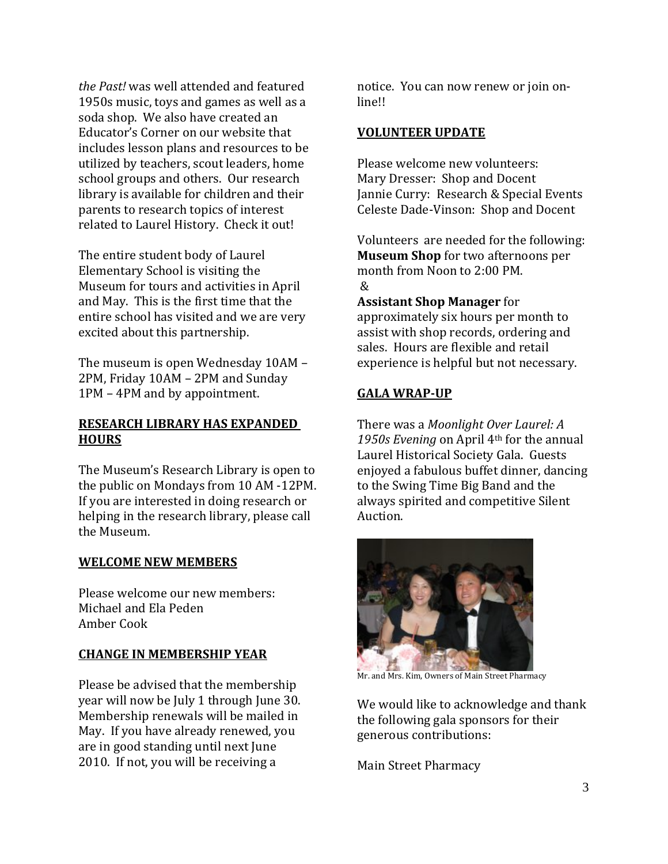*the Past!* was well attended and featured 1950s music, toys and games as well as a soda shop. We also have created an Educator's Corner on our website that includes lesson plans and resources to be utilized by teachers, scout leaders, home school groups and others. Our research library is available for children and their parents to research topics of interest related to Laurel History. Check it out!

The entire student body of Laurel Elementary School is visiting the Museum for tours and activities in April and May. This is the first time that the entire school has visited and we are very excited about this partnership.

The museum is open Wednesday 10AM – 2PM, Friday 10AM – 2PM and Sunday 1PM – 4PM and by appointment.

## **RESEARCH LIBRARY HAS EXPANDED HOURS**

 The Museum's Research Library is open to the public on Mondays from 10 AM ‐12PM. If you are interested in doing research or helping in the research library, please call the Museum.

# **WELCOME NEW MEMBERS**

Please welcome our new members: Michael and Ela Peden Amber Cook

# **CHANGE IN MEMBERSHIP YEAR**

Please be advised that the membership year will now be July 1 through June 30. Membership renewals will be mailed in May. If you have already renewed, you are in good standing until next June 2010. If not, you will be receiving a

notice. You can now renew or join on‐ line!!

#### **VOLUNTEER UPDATE**

Please welcome new volunteers: Mary Dresser: Shop and Docent Jannie Curry: Research & Special Events Celeste Dade‐Vinson: Shop and Docent

Volunteers are needed for the following: **seum Shop** for two afternoons per **Mu** month from Noon to 2:00 PM.  $\mathcal{R}$ 

**Assistant Shop Manager** for approximately six hours per month to assist with shop records, ordering and sales. Hours are flexible and retail experience is helpful but not necessary.

# **GALA WRAPUP**

There was a *Moonlight Over Laurel: A 1950s Evening* on April 4th for the annual Laurel Historical Society Gala. Guests enjoyed a fabulous buffet dinner, dancing to the Swing Time Big Band and the always spirited and competitive Silent Auction.



Mr. and Mrs. Kim, Owners of Main Street Pharmacy

We would like to acknowledge and thank the following gala sponsors for their : generous contributions

Main Street Pharmacy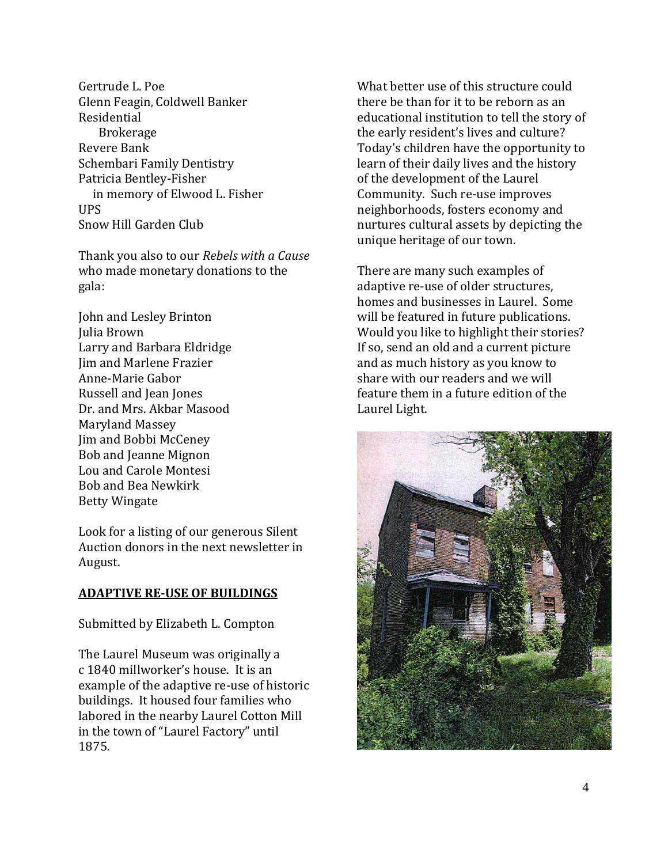Gertrude L. Poe Glenn Feagin, Coldwell Banker Residential Brokerage Revere Bank Schembari Family Dentistry Patricia Bentley-Fisher in memory of Elwood L. Fisher UPS Snow Hill Garden Club

Thank you also to our *Rebels with a Cause* who made monetary donations to the gala:

John and Lesley Brinton Larry and Barbara Eldridge Julia Brown Jim and Marlene Frazier Anne‐Marie Gabor Russell and Jean Jones Dr. and Mrs. Akbar Masood Maryland Massey Jim and Bobbi McCeney Bob and Jeanne Mignon Lou and Carole Montesi Bob and Bea Newkirk Betty Wingate

Look for a listing of our generous Silent Auction donors in the next newsletter in August.

#### **ADAPTIVE REUSE OF BUILDINGS**

Submitted by Elizabeth L. Compton

The Laurel Museum was originally a c 1840 millworker's house. It is an example of the adaptive re‐use of historic buildings. It housed four families who labored in the nearby Laurel Cotton Mill in the town of "Laurel Factory" until 875. 1

What better use of this structure could there be than for it to be reborn as an educational institution to tell the story of the early resident's lives and culture? Today's children have the opportunity to learn of their daily lives and the history of the development of the Laurel Community. Such re‐use improves neighborhoods, fosters economy and nurtures cultural assets by depicting the unique heritage of our town.

There are many such examples of adaptive re‐use of older structures, homes and businesses in Laurel. Some will be featured in future publications. Would you like to highlight their stories? If so, send an old and a current picture and as much history as you know to share with our readers and we will feature them in a future edition of the Laurel Light.

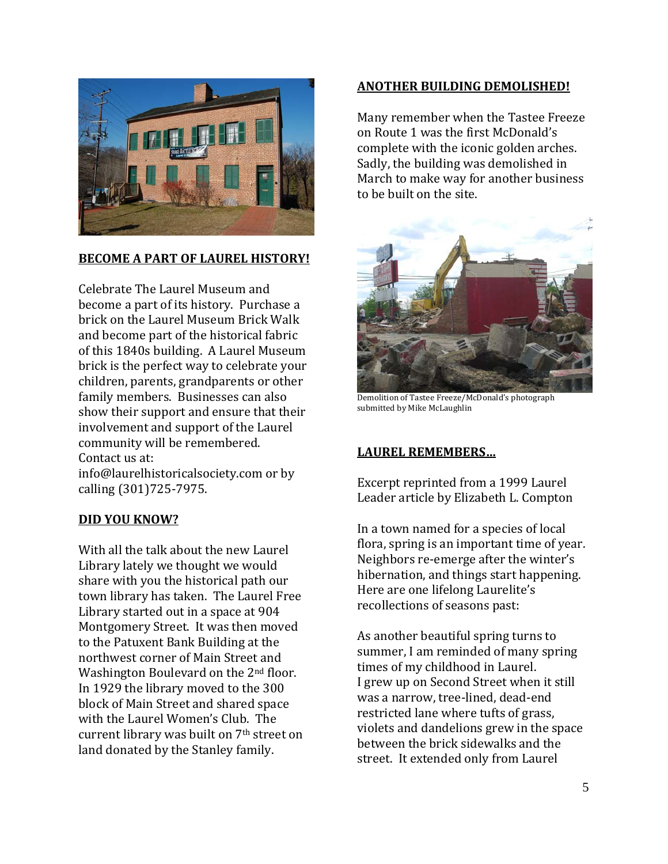

# **BECOME A PART OF LAUREL HISTORY!**

Celebrate The Laurel Museum and become a part of its history. Purchase a brick on the Laurel Museum Brick Walk and become part of the historical fabric of this 1840s building. A Laurel Museum brick is the perfect way to celebrate your children, parents, grandparents or other family members. Businesses can also show their support and ensure that their involvement and support of the Laurel community will be remembered. Contact us at:

nfo@laurelhistoricalsociety.com or by i alling (301)725‐7975. c

#### **DID YOU KNOW?**

With all the talk about the new Laurel Library lately we thought we would share with you the historical path our town library has taken. The Laurel Free Library started out in a space at 904 Montgomery Street. It was then moved to the Patuxent Bank Building at the northwest corner of Main Street and Washington Boulevard on the 2<sup>nd</sup> floor. In 1929 the library moved to the 300 block of Main Street and shared space with the Laurel Women's Club. The current library was built on 7<sup>th</sup> street on land donated by the Stanley family.

#### **ANOTHER BUILDING DEMOLISHED!**

Many remember when the Tastee Freeze on Route 1 was the first McDonald's complete with the iconic golden arches. Sadly, the building was demolished in March to make way for another business to be built on the site.



Demolition of Tastee Freeze/McDonald's photograph submitted by Mike McLaughlin

#### **LAUREL REMEMBERS…**

Excerpt reprinted from a 1999 Laurel Leader article by Elizabeth L. Compton

In a town named for a species of local flora, spring is an important time of year. Neighbors re‐emerge after the winter's hibernation, and things start happening. Here are one lifelong Laurelite's recollections of seasons past:

As another beautiful spring turns to summer, I am reminded of many spring times of my childhood in Laurel. I grew up on Second Street when it still was a narrow, tree‐lined, dead‐end restricted lane where tufts of grass, violets and dandelions grew in the space between the brick sidewalks and the street. It extended only from Laurel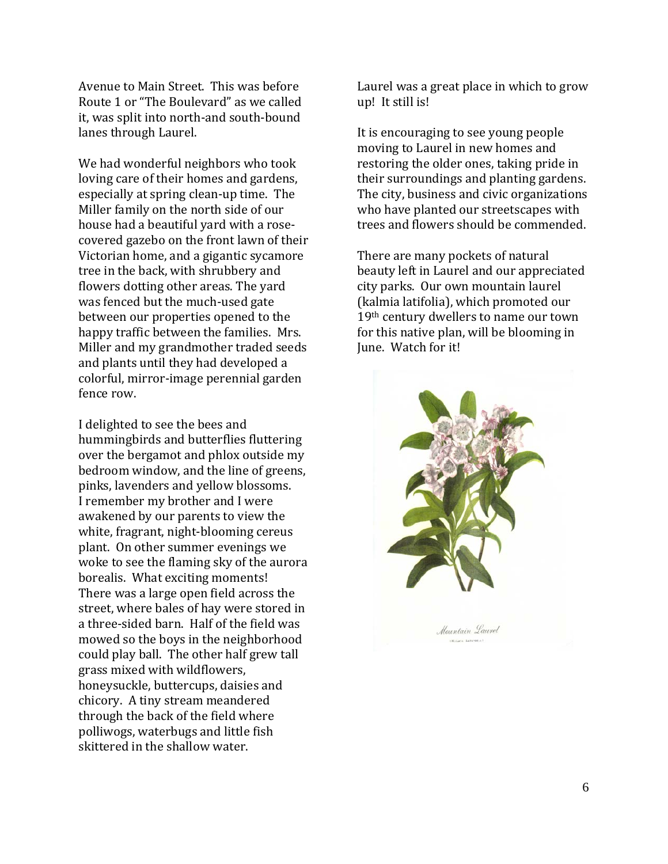Avenue to Main Street. This was before Route 1 or "The Boulevard" as we called it, was split into north‐and south‐bound lanes through Laurel.

We had wonderful neighbors who took loving care of their homes and gardens, especially at spring clean‐up time. The Miller family on the north side of our house had a beautiful yard with a rose‐ covered gazebo on the front lawn of their Victorian home, and a gigantic sycamore tree in the back, with shrubbery and flowers dotting other areas. The yard was fenced but the much‐used gate between our properties opened to the happy traffic between the families. Mrs. Miller and my grandmother traded seeds and plants until they had developed a colorful, mirror‐image perennial garden fence row.

I delighted to see the bees and hummingbirds and butterflies fluttering over the bergamot and phlox outside my bedroom window, and the line of greens, . pinks, lavenders and yellow blossoms I remember my brother and I were awakened by our parents to view the white, fragrant, night-blooming cereus plant. On other summer evenings we woke to see the flaming sky of the aurora borealis. What exciting moments! There was a large open field across the street, where bales of hay were stored in a three‐sided barn. Half of the field was mowed so the boys in the neighborhood could play ball. The other half grew tall grass mixed with wildflowers, honeysuckle, buttercups, daisies and chicory. A tiny stream meandered through the back of the field where polliwogs, waterbugs and little fish skittered in the shallow water.

Laurel was a great place in which to grow up! It still is!

It is encouraging to see young people moving to Laurel in new homes and restoring the older ones, taking pride in their surroundings and planting gardens. The city, business and civic organizations who have planted our streetscapes with trees and flowers should be commended.

There are many pockets of natural beauty left in Laurel and our appreciated city parks. Our own mountain laurel (kalmia latifolia), which promoted our 19th century dwellers to name our town for this native plan, will be blooming in June. Watch for it!

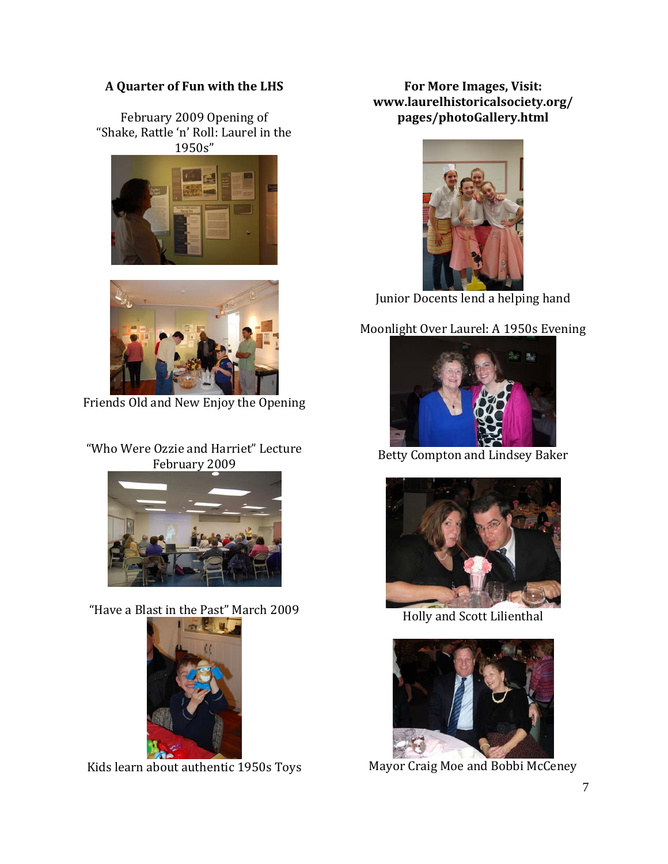# **A Quarter of Fun with the LHS**

February 2009 Opening of "Shake, Rattle 'n' Roll: Laurel in the 1950s"





Friends Old and New Enjoy the Opening

# "Who Were Ozzie and Harriet" Lecture February 2009



"Have a Blast in the Past" March 2009



Kids learn about authentic 1950s Toys

**For More Images, Visit: www.laurelhistoricalsociety.org/ pages/photoGallery.html**



Junior Docents lend a helping hand

# Moonlight Over Laurel: A 1950s Evening



Betty Compton and Lindsey Baker



Holly and Scott Lilienthal



Mayor Craig Moe and Bobbi McCeney